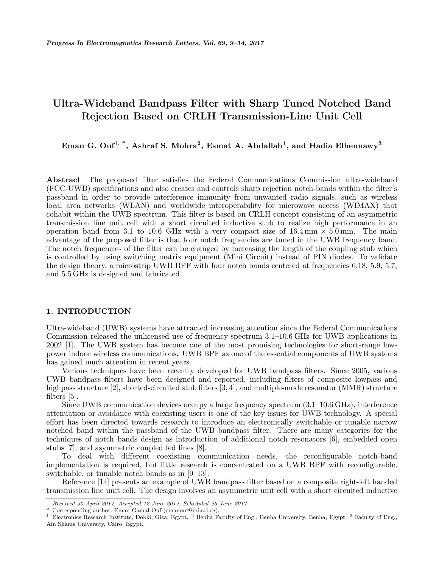# **Ultra-Wideband Bandpass Filter with Sharp Tuned Notched Band Rejection Based on CRLH Transmission-Line Unit Cell**

**Eman G. Ouf1, \*, Ashraf S. Mohra2, Esmat A. Abdallah1, and Hadia Elhennawy<sup>3</sup>**

**Abstract**—The proposed filter satisfies the Federal Communications Commission ultra-wideband (FCC-UWB) specifications and also creates and controls sharp rejection notch-bands within the filter's passband in order to provide interference immunity from unwanted radio signals, such as wireless local area networks (WLAN) and worldwide interoperability for microwave access (WIMAX) that cohabit within the UWB spectrum. This filter is based on CRLH concept consisting of an asymmetric transmission line unit cell with a short circuited inductive stub to realize high performance in an operation band from 3.1 to 10.6 GHz with a very compact size of  $16.4 \text{ mm} \times 5.0 \text{ mm}$ . The main advantage of the proposed filter is that four notch frequencies are tuned in the UWB frequency band. The notch frequencies of the filter can be changed by increasing the length of the coupling stub which is controlled by using switching matrix equipment (Mini Circuit) instead of PIN diodes. To validate the design theory, a microstrip UWB BPF with four notch bands centered at frequencies 6.18, 5.9, 5.7, and 5.5 GHz is designed and fabricated.

# **1. INTRODUCTION**

Ultra-wideband (UWB) systems have attracted increasing attention since the Federal Communications Commission released the unlicensed use of frequency spectrum 3.1–10.6 GHz for UWB applications in 2002 [1]. The UWB system has become one of the most promising technologies for short-range lowpower indoor wireless communications. UWB BPF as one of the essential components of UWB systems has gained much attention in recent years.

Various techniques have been recently developed for UWB bandpass filters. Since 2005, various UWB bandpass filters have been designed and reported, including filters of composite lowpass and highpass structure [2], shorted-circuited stub filters [3, 4], and multiple-mode resonator (MMR) structure filters [5].

Since UWB communication devices occupy a large frequency spectrum (3.1–10.6 GHz), interference attenuation or avoidance with coexisting users is one of the key issues for UWB technology. A special effort has been directed towards research to introduce an electronically switchable or tunable narrow notched band within the passband of the UWB bandpass filter. There are many categories for the techniques of notch bands design as introduction of additional notch resonators [6], embedded open stubs [7], and asymmetric coupled fed lines [8].

To deal with different coexisting communication needs, the reconfigurable notch-band implementation is required, but little research is concentrated on a UWB BPF with reconfigurable, switchable, or tunable notch bands as in [9–13].

Reference [14] presents an example of UWB bandpass filter based on a composite right-left handed transmission line unit cell. The design involves an asymmetric unit cell with a short circuited inductive

*Received 30 April 2017, Accepted 12 June 2017, Scheduled 26 June 2017*

Corresponding author: Eman Gamal Ouf (emanouf@eri.sci.eg).

<sup>&</sup>lt;sup>1</sup> Electronics Research Institute, Dokki, Giza, Egypt. <sup>2</sup> Benha Faculty of Eng., Benha University, Benha, Egypt. <sup>3</sup> Faculty of Eng., Ain Shams University, Cairo, Egypt.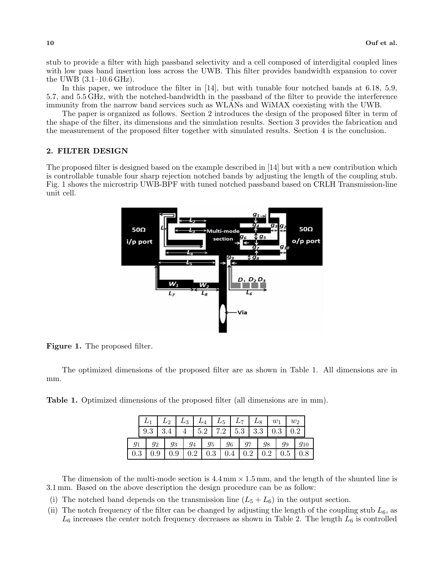stub to provide a filter with high passband selectivity and a cell composed of interdigital coupled lines with low pass band insertion loss across the UWB. This filter provides bandwidth expansion to cover the UWB (3.1–10.6 GHz).

In this paper, we introduce the filter in [14], but with tunable four notched bands at 6.18, 5.9, 5.7, and 5.5 GHz, with the notched-bandwidth in the passband of the filter to provide the interference immunity from the narrow band services such as WLANs and WiMAX coexisting with the UWB.

The paper is organized as follows. Section 2 introduces the design of the proposed filter in term of the shape of the filter, its dimensions and the simulation results. Section 3 provides the fabrication and the measurement of the proposed filter together with simulated results. Section 4 is the conclusion.

#### **2. FILTER DESIGN**

The proposed filter is designed based on the example described in [14] but with a new contribution which is controllable tunable four sharp rejection notched bands by adjusting the length of the coupling stub. Fig. 1 shows the microstrip UWB-BPF with tuned notched passband based on CRLH Transmission-line unit cell.



**Figure 1.** The proposed filter.

The optimized dimensions of the proposed filter are as shown in Table 1. All dimensions are in mm.

**Table 1.** Optimized dimensions of the proposed filter (all dimensions are in mm).

|  | $L_1 \mid L_2 \mid L_3 \mid L_4 \mid L_5 \mid L_7 \mid L_8 \mid w_1 \mid$ |  |  |  |  |  |                                                         |     | $w_2$ |  |
|--|---------------------------------------------------------------------------|--|--|--|--|--|---------------------------------------------------------|-----|-------|--|
|  | $9.3$   3.4   4   5.2   7.2   5.3   3.3   0.3   0.2                       |  |  |  |  |  |                                                         |     |       |  |
|  | $g_1$   $g_2$   $g_3$   $g_4$   $g_5$   $g_6$   $g_7$   $g_8$   $g_9$     |  |  |  |  |  |                                                         |     |       |  |
|  | $0.3 \,   \, 0.9$                                                         |  |  |  |  |  | $0.9 \mid 0.2 \mid 0.3 \mid 0.4 \mid 0.2 \mid 0.2 \mid$ | 0.5 |       |  |

The dimension of the multi-mode section is  $4.4 \text{ mm} \times 1.5 \text{ mm}$ , and the length of the shunted line is 3.1 mm. Based on the above description the design procedure can be as follow:

- (i) The notched band depends on the transmission line  $(L_5 + L_6)$  in the output section.
- (ii) The notch frequency of the filter can be changed by adjusting the length of the coupling stub  $L_6$ , as  $L_6$  increases the center notch frequency decreases as shown in Table 2. The length  $L_6$  is controlled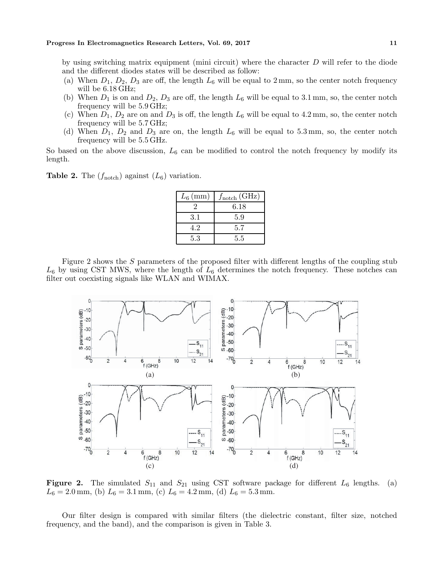by using switching matrix equipment (mini circuit) where the character  $D$  will refer to the diode and the different diodes states will be described as follow:

- (a) When  $D_1$ ,  $D_2$ ,  $D_3$  are off, the length  $L_6$  will be equal to 2 mm, so the center notch frequency will be 6.18 GHz;
- (b) When  $D_1$  is on and  $D_2$ ,  $D_3$  are off, the length  $L_6$  will be equal to 3.1 mm, so, the center notch frequency will be 5.9 GHz;
- (c) When  $D_1$ ,  $D_2$  are on and  $D_3$  is off, the length  $L_6$  will be equal to 4.2 mm, so, the center notch frequency will be 5.7 GHz;
- (d) When  $D_1$ ,  $D_2$  and  $D_3$  are on, the length  $L_6$  will be equal to 5.3 mm, so, the center notch frequency will be 5.5 GHz.

So based on the above discussion,  $L_6$  can be modified to control the notch frequency by modify its length.

**Table 2.** The  $(f_{\text{notch}})$  against  $(L_6)$  variation.

| $L_6$ (mm) | $f_{\text{notch}}$ (GHz) |
|------------|--------------------------|
|            | 6.18                     |
| 3.1        | 5.9                      |
| 4.2        | 5.7                      |
| 5.3        | 5.5                      |

Figure 2 shows the S parameters of the proposed filter with different lengths of the coupling stub  $L_6$  by using CST MWS, where the length of  $L_6$  determines the notch frequency. These notches can filter out coexisting signals like WLAN and WIMAX.



**Figure 2.** The simulated  $S_{11}$  and  $S_{21}$  using CST software package for different  $L_6$  lengths. (a)  $L_6 = 2.0$  mm, (b)  $L_6 = 3.1$  mm, (c)  $L_6 = 4.2$  mm, (d)  $L_6 = 5.3$  mm.

Our filter design is compared with similar filters (the dielectric constant, filter size, notched frequency, and the band), and the comparison is given in Table 3.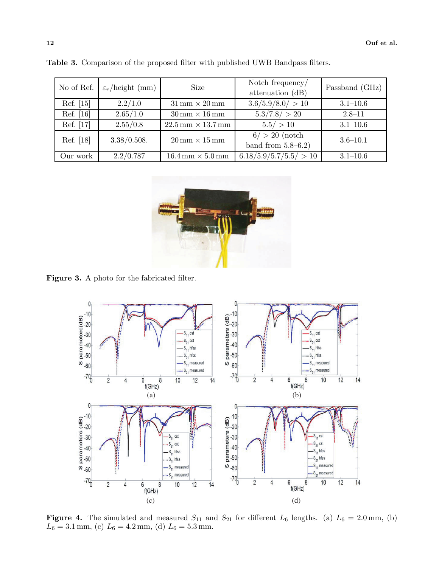| No of Ref. | $\varepsilon_r$ /height (mm) | <b>Size</b>                                    | Notch frequency/<br>attenuation (dB)      | Passband (GHz) |  |
|------------|------------------------------|------------------------------------------------|-------------------------------------------|----------------|--|
| Ref. [15]  | 2.2/1.0                      | $31 \,\mathrm{mm} \times 20 \,\mathrm{mm}$     | 3.6/5.9/8.0/ > 10                         | $3.1 - 10.6$   |  |
| Ref. [16]  | 2.65/1.0                     | $30 \,\mathrm{mm} \times 16 \,\mathrm{mm}$     | 5.3/7.8/ > 20                             | $2.8 - 11$     |  |
| Ref. [17]  | 2.55/0.8                     | $22.5 \,\mathrm{mm} \times 13.7 \,\mathrm{mm}$ | 5.5/ > 10                                 | $3.1 - 10.6$   |  |
| Ref. [18]  | 3.38/0.508.                  | $20 \,\mathrm{mm} \times 15 \,\mathrm{mm}$     | $6/ > 20$ (notch<br>band from $5.8-6.2$ ) | $3.6 - 10.1$   |  |
| Our work   | 2.2/0.787                    | $16.4 \,\mathrm{mm} \times 5.0 \,\mathrm{mm}$  | 6.18/5.9/5.7/5.5/ > 10                    | $3.1 - 10.6$   |  |

**Table 3.** Comparison of the proposed filter with published UWB Bandpass filters.



**Figure 3.** A photo for the fabricated filter.



**Figure 4.** The simulated and measured  $S_{11}$  and  $S_{21}$  for different  $L_6$  lengths. (a)  $L_6 = 2.0$  mm, (b)  $L_6 = 3.1$  mm (c)  $L_6 = 4.2$  mm (d)  $L_6 = 5.3$  mm  $L_6 = 3.1$  mm, (c)  $L_6 = 4.2$  mm, (d)  $L_6 = 5.3$  mm.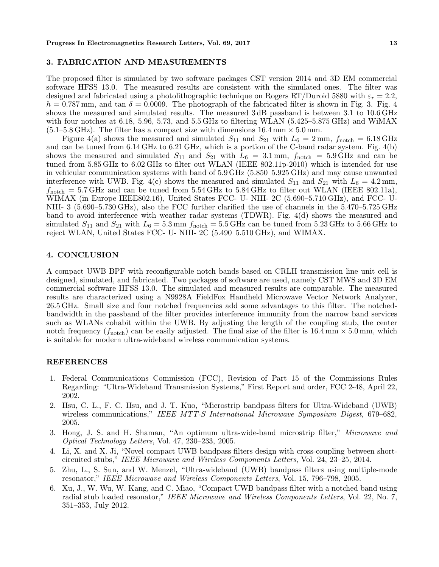#### **3. FABRICATION AND MEASUREMENTS**

The proposed filter is simulated by two software packages CST version 2014 and 3D EM commercial software HFSS 13.0. The measured results are consistent with the simulated ones. The filter was designed and fabricated using a photolithographic technique on Rogers RT/Duroid 5880 with  $\varepsilon_r = 2.2$ ,  $h = 0.787$  mm, and tan  $\delta = 0.0009$ . The photograph of the fabricated filter is shown in Fig. 3. Fig. 4 shows the measured and simulated results. The measured 3dB passband is between 3.1 to 10.6 GHz with four notches at 6.18, 5.96, 5.73, and 5.5 GHz to filtering WLAN (5.425–5.875 GHz) and WiMAX (5.1–5.8 GHz). The filter has a compact size with dimensions 16.4 mm *<sup>×</sup>* <sup>5</sup>.0 mm.

Figure 4(a) shows the measured and simulated  $S_{11}$  and  $S_{21}$  with  $L_6 = 2$  mm,  $f_{\text{notch}} = 6.18 \text{ GHz}$ and can be tuned from 6.14 GHz to 6.21 GHz, which is a portion of the C-band radar system. Fig. 4(b) shows the measured and simulated  $S_{11}$  and  $S_{21}$  with  $L_6 = 3.1$  mm,  $f_{\text{notch}} = 5.9$  GHz and can be tuned from 5.85 GHz to 6.02 GHz to filter out WLAN (IEEE 802.11p-2010) which is intended for use in vehicular communication systems with band of 5.9 GHz (5.850–5.925 GHz) and may cause unwanted interference with UWB. Fig. 4(c) shows the measured and simulated  $S_{11}$  and  $S_{21}$  with  $L_6 = 4.2$  mm,  $f_{\text{scat}} = 5.7$  GHz and can be tuned from 5.54 GHz to 5.84 GHz to filter out WLAN (JEEE 802.11a)  $f_{\text{notch}} = 5.7 \text{ GHz}$  and can be tuned from  $5.54 \text{ GHz}$  to  $5.84 \text{ GHz}$  to filter out WLAN (IEEE 802.11a),<br>WIMAX (in Europe IEEE802.16) United States FCC- U- NIIL 2C (5.690–5.710.GHz) and FCC- U-WIMAX (in Europe IEEE802.16), United States FCC- U- NIII- 2C (5.690–5.710 GHz), and FCC- U-NIII- 3 (5.690–5.730 GHz), also the FCC further clarified the use of channels in the 5.470–5.725 GHz band to avoid interference with weather radar systems (TDWR). Fig. 4(d) shows the measured and simulated  $S_{11}$  and  $S_{21}$  with  $L_6 = 5.3$  mm  $f_{\text{notch}} = 5.5$  GHz can be tuned from 5.23 GHz to 5.66 GHz to reject WLAN, United States FCC- U- NIII- 2C (5.490–5.510 GHz), and WIMAX.

## **4. CONCLUSION**

A compact UWB BPF with reconfigurable notch bands based on CRLH transmission line unit cell is designed, simulated, and fabricated. Two packages of software are used, namely CST MWS and 3D EM commercial software HFSS 13.0. The simulated and measured results are comparable. The measured results are characterized using a N9928A FieldFox Handheld Microwave Vector Network Analyzer, 26.5 GHz. Small size and four notched frequencies add some advantages to this filter. The notchedbandwidth in the passband of the filter provides interference immunity from the narrow band services such as WLANs cohabit within the UWB. By adjusting the length of the coupling stub, the center notch frequency  $(f_{\text{notch}})$  can be easily adjusted. The final size of the filter is  $16.4 \text{ mm} \times 5.0 \text{ mm}$ , which is suitable for modern ultra-wideband wireless communication systems.

### **REFERENCES**

- 1. Federal Communications Commission (FCC), Revision of Part 15 of the Commissions Rules Regarding: "Ultra-Wideband Transmission Systems," First Report and order, FCC 2-48, April 22, 2002.
- 2. Hsu, C. L., F. C. Hsu, and J. T. Kuo, "Microstrip bandpass filters for Ultra-Wideband (UWB) wireless communications," *IEEE MTT-S International Microwave Symposium Digest*, 679–682, 2005.
- 3. Hong, J. S. and H. Shaman, "An optimum ultra-wide-band microstrip filter," *Microwave and Optical Technology Letters*, Vol. 47, 230–233, 2005.
- 4. Li, X. and X. Ji, "Novel compact UWB bandpass filters design with cross-coupling between shortcircuited stubs," *IEEE Microwave and Wireless Components Letters*, Vol. 24, 23–25, 2014.
- 5. Zhu, L., S. Sun, and W. Menzel, "Ultra-wideband (UWB) bandpass filters using multiple-mode resonator," *IEEE Microwave and Wireless Components Letters*, Vol. 15, 796–798, 2005.
- 6. Xu, J., W. Wu, W. Kang, and C. Miao, "Compact UWB bandpass filter with a notched band using radial stub loaded resonator," *IEEE Microwave and Wireless Components Letters*, Vol. 22, No. 7, 351–353, July 2012.